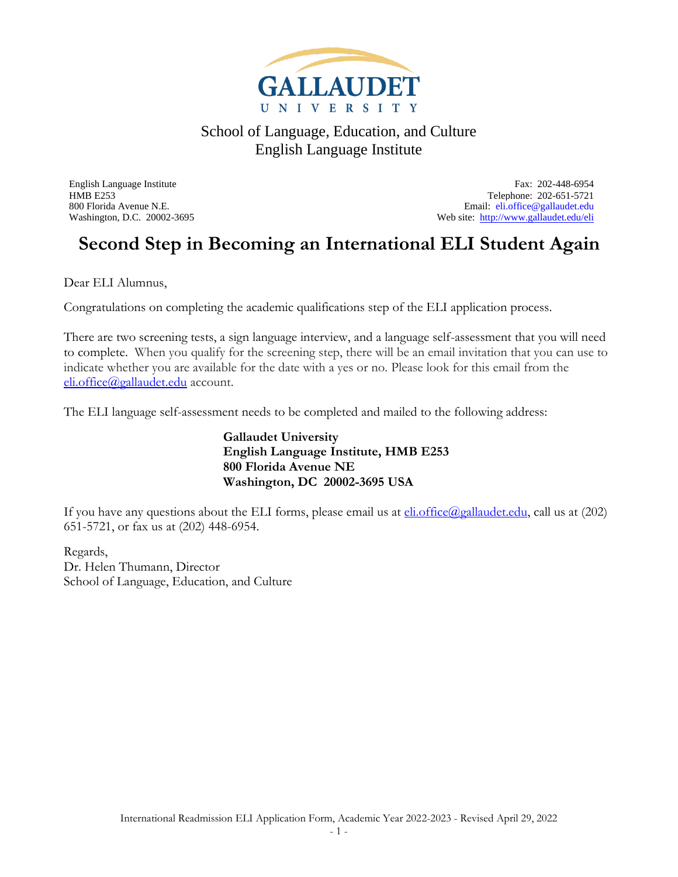

English Language Institute Fax: 202-448-6954 HMB E253 Telephone: 202-651-5721 800 Florida Avenue N.E.<br>
Web site: http://www.gallaudet.edu/eli<br>
Web site: http://www.gallaudet.edu/eli Web site:<http://www.gallaudet.edu/eli>

## **Second Step in Becoming an International ELI Student Again**

Dear ELI Alumnus,

Congratulations on completing the academic qualifications step of the ELI application process.

There are two screening tests, a sign language interview, and a language self-assessment that you will need to complete. When you qualify for the screening step, there will be an email invitation that you can use to indicate whether you are available for the date with a yes or no. Please look for this email from the [eli.office@gallaudet.edu](mailto:eli.office@gallaudet.edu) account.

The ELI language self-assessment needs to be completed and mailed to the following address:

**Gallaudet University English Language Institute, HMB E253 800 Florida Avenue NE Washington, DC 20002-3695 USA**

If you have any questions about the ELI forms, please email us at  $\frac{\text{eli.office}(a_{\text{g}})$  call us at (202) 651-5721, or fax us at (202) 448-6954.

Regards, Dr. Helen Thumann, Director School of Language, Education, and Culture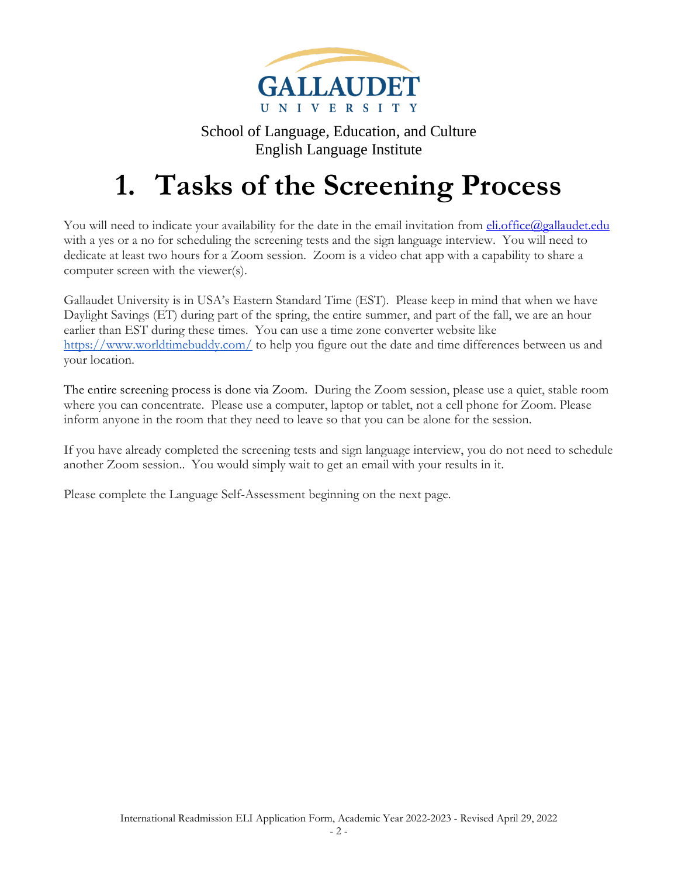

# **1. Tasks of the Screening Process**

You will need to indicate your availability for the date in the email invitation from **eli.office@gallaudet.edu** with a yes or a no for scheduling the screening tests and the sign language interview. You will need to dedicate at least two hours for a Zoom session. Zoom is a video chat app with a capability to share a computer screen with the viewer(s).

Gallaudet University is in USA's Eastern Standard Time (EST). Please keep in mind that when we have Daylight Savings (ET) during part of the spring, the entire summer, and part of the fall, we are an hour earlier than EST during these times. You can use a time zone converter website like <https://www.worldtimebuddy.com/> to help you figure out the date and time differences between us and your location.

The entire screening process is done via Zoom. During the Zoom session, please use a quiet, stable room where you can concentrate. Please use a computer, laptop or tablet, not a cell phone for Zoom. Please inform anyone in the room that they need to leave so that you can be alone for the session.

If you have already completed the screening tests and sign language interview, you do not need to schedule another Zoom session.. You would simply wait to get an email with your results in it.

Please complete the Language Self-Assessment beginning on the next page.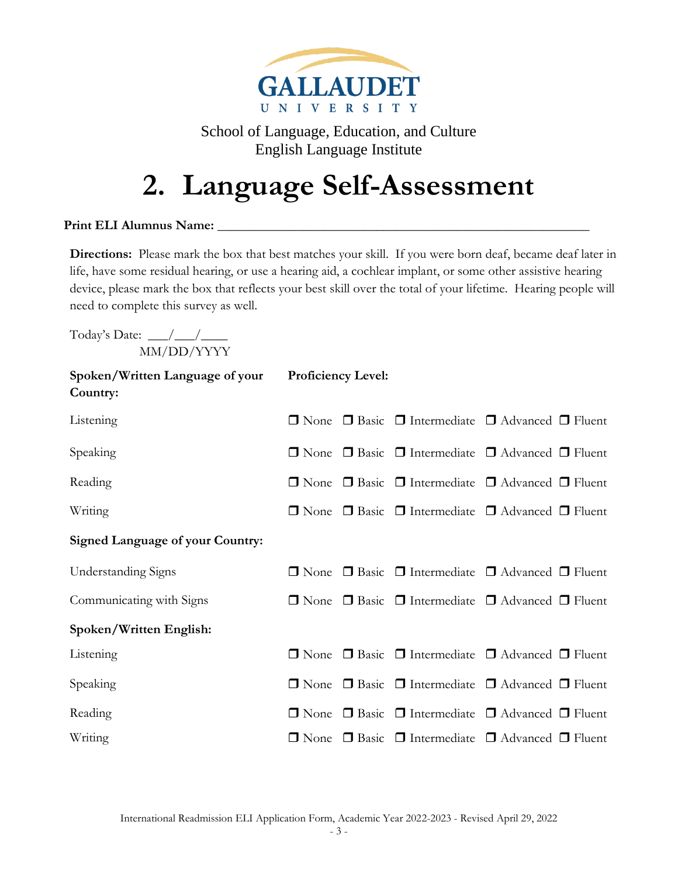

# **2. Language Self-Assessment**

#### Print ELI Alumnus Name:

**Directions:** Please mark the box that best matches your skill. If you were born deaf, became deaf later in life, have some residual hearing, or use a hearing aid, a cochlear implant, or some other assistive hearing device, please mark the box that reflects your best skill over the total of your lifetime. Hearing people will need to complete this survey as well.

Today's Date:  $\_\_\_\_\_\_\_\_\_\_\_\_\_\_\_\_\_\_\_$ MM/DD/YYYY

| Spoken/Written Language of your<br>Country: | <b>Proficiency Level:</b> |  |  |                                                                            |  |  |  |
|---------------------------------------------|---------------------------|--|--|----------------------------------------------------------------------------|--|--|--|
| Listening                                   |                           |  |  | $\Box$ None $\Box$ Basic $\Box$ Intermediate $\Box$ Advanced $\Box$ Fluent |  |  |  |
| Speaking                                    |                           |  |  | $\Box$ None $\Box$ Basic $\Box$ Intermediate $\Box$ Advanced $\Box$ Fluent |  |  |  |
| Reading                                     |                           |  |  | $\Box$ None $\Box$ Basic $\Box$ Intermediate $\Box$ Advanced $\Box$ Fluent |  |  |  |
| Writing                                     |                           |  |  | □ None □ Basic □ Intermediate □ Advanced □ Fluent                          |  |  |  |
| <b>Signed Language of your Country:</b>     |                           |  |  |                                                                            |  |  |  |
| <b>Understanding Signs</b>                  |                           |  |  | $\Box$ None $\Box$ Basic $\Box$ Intermediate $\Box$ Advanced $\Box$ Fluent |  |  |  |
| Communicating with Signs                    |                           |  |  | $\Box$ None $\Box$ Basic $\Box$ Intermediate $\Box$ Advanced $\Box$ Fluent |  |  |  |
| Spoken/Written English:                     |                           |  |  |                                                                            |  |  |  |
| Listening                                   |                           |  |  | □ None □ Basic □ Intermediate □ Advanced □ Fluent                          |  |  |  |
| Speaking                                    |                           |  |  | $\Box$ None $\Box$ Basic $\Box$ Intermediate $\Box$ Advanced $\Box$ Fluent |  |  |  |
| Reading                                     |                           |  |  | $\Box$ None $\Box$ Basic $\Box$ Intermediate $\Box$ Advanced $\Box$ Fluent |  |  |  |
| Writing                                     |                           |  |  | $\Box$ None $\Box$ Basic $\Box$ Intermediate $\Box$ Advanced $\Box$ Fluent |  |  |  |